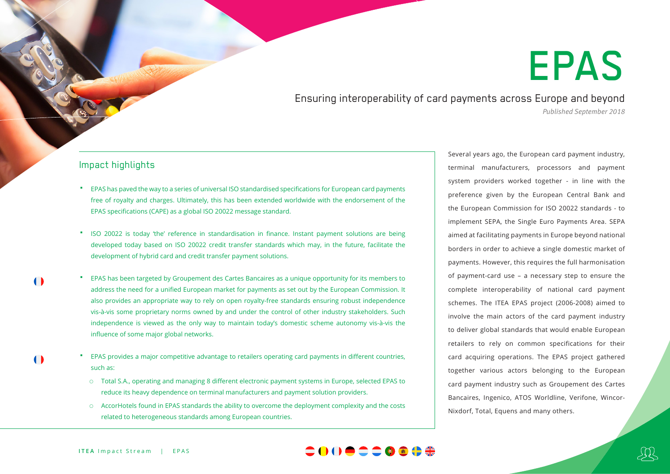## EPAS

Ensuring interoperability of card payments across Europe and beyond *Published September 2018*

## Impact highlights

- EPAS has paved the way to a series of universal ISO standardised specifications for European card payments free of royalty and charges. Ultimately, this has been extended worldwide with the endorsement of the EPAS specifications (CAPE) as a global ISO 20022 message standard.
- ISO 20022 is today 'the' reference in standardisation in finance. Instant payment solutions are being developed today based on ISO 20022 credit transfer standards which may, in the future, facilitate the development of hybrid card and credit transfer payment solutions.
- EPAS has been targeted by Groupement des Cartes Bancaires as a unique opportunity for its members to address the need for a unified European market for payments as set out by the European Commission. It also provides an appropriate way to rely on open royalty-free standards ensuring robust independence vis-à-vis some proprietary norms owned by and under the control of other industry stakeholders. Such independence is viewed as the only way to maintain today's domestic scheme autonomy vis-à-vis the influence of some major global networks.
	- EPAS provides a major competitive advantage to retailers operating card payments in different countries, such as:
		- Total S.A., operating and managing 8 different electronic payment systems in Europe, selected EPAS to reduce its heavy dependence on terminal manufacturers and payment solution providers.
		- AccorHotels found in EPAS standards the ability to overcome the deployment complexity and the costs related to heterogeneous standards among European countries.

Several years ago, the European card payment industry, terminal manufacturers, processors and payment system providers worked together - in line with the preference given by the European Central Bank and the European Commission for ISO 20022 standards - to implement SEPA, the Single Euro Payments Area. SEPA aimed at facilitating payments in Europe beyond national borders in order to achieve a single domestic market of payments. However, this requires the full harmonisation of payment-card use – a necessary step to ensure the complete interoperability of national card payment schemes. The ITEA EPAS project (2006-2008) aimed to involve the main actors of the card payment industry to deliver global standards that would enable European retailers to rely on common specifications for their card acquiring operations. The EPAS project gathered together various actors belonging to the European card payment industry such as Groupement des Cartes Bancaires, Ingenico, ATOS Worldline, Verifone, Wincor-Nixdorf, Total, Equens and many others.